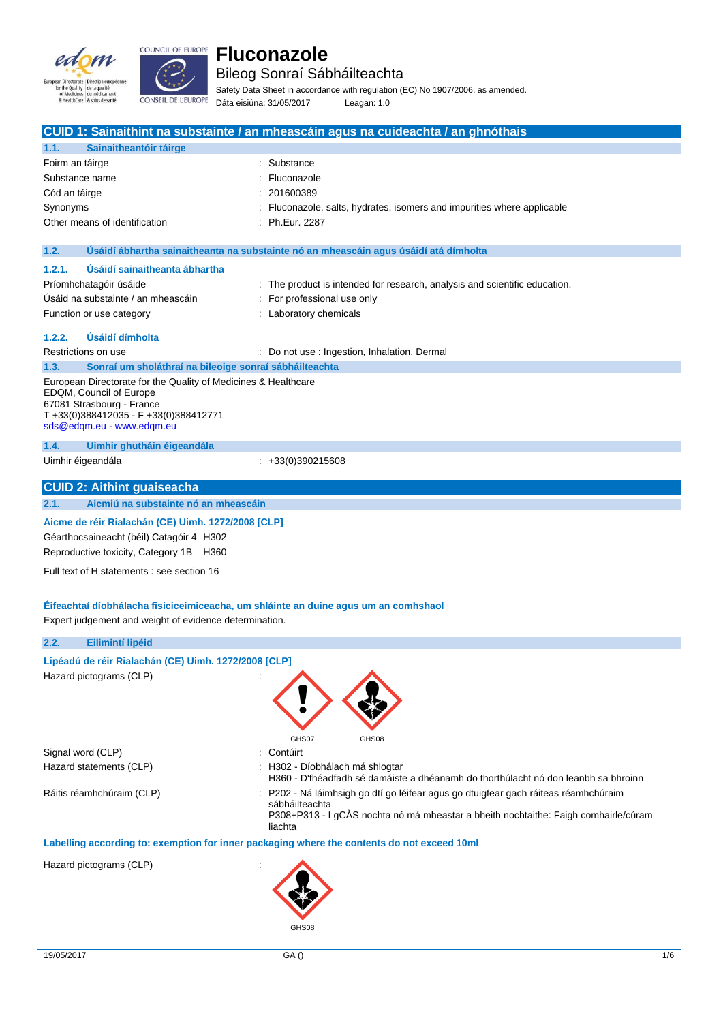



Bileog Sonraí Sábháilteachta

Safety Data Sheet in accordance with regulation (EC) No 1907/2006, as amended. Dáta eisiúna: 31/05/2017 Leagan: 1.0

|                                                                                                                                                                                            | CUID 1: Sainaithint na substainte / an mheascáin agus na cuideachta / an ghnóthais                                                                                                                    |
|--------------------------------------------------------------------------------------------------------------------------------------------------------------------------------------------|-------------------------------------------------------------------------------------------------------------------------------------------------------------------------------------------------------|
| 1.1.<br>Sainaitheantóir táirge                                                                                                                                                             |                                                                                                                                                                                                       |
| Foirm an táirge                                                                                                                                                                            | : Substance                                                                                                                                                                                           |
| Substance name                                                                                                                                                                             | Fluconazole                                                                                                                                                                                           |
| Cód an táirge                                                                                                                                                                              | 201600389                                                                                                                                                                                             |
| Synonyms                                                                                                                                                                                   | Fluconazole, salts, hydrates, isomers and impurities where applicable                                                                                                                                 |
| Other means of identification                                                                                                                                                              | : Ph.Eur. 2287                                                                                                                                                                                        |
| 1.2.                                                                                                                                                                                       | Usáidí ábhartha sainaitheanta na substainte nó an mheascáin agus úsáidí atá dímholta                                                                                                                  |
| Úsáidí sainaitheanta ábhartha<br>1.2.1.                                                                                                                                                    |                                                                                                                                                                                                       |
| Príomhchatagóir úsáide                                                                                                                                                                     | : The product is intended for research, analysis and scientific education.                                                                                                                            |
| Úsáid na substainte / an mheascáin                                                                                                                                                         | For professional use only                                                                                                                                                                             |
| Function or use category                                                                                                                                                                   | : Laboratory chemicals                                                                                                                                                                                |
| <b>Usáidí dímholta</b><br>1.2.2.                                                                                                                                                           |                                                                                                                                                                                                       |
| Restrictions on use                                                                                                                                                                        | : Do not use : Ingestion, Inhalation, Dermal                                                                                                                                                          |
| 1.3.<br>Sonraí um sholáthraí na bileoige sonraí sábháilteachta                                                                                                                             |                                                                                                                                                                                                       |
| European Directorate for the Quality of Medicines & Healthcare<br>EDQM, Council of Europe<br>67081 Strasbourg - France<br>T+33(0)388412035 - F+33(0)388412771<br>sds@edgm.eu - www.edgm.eu |                                                                                                                                                                                                       |
| 1.4.<br>Uimhir ghutháin éigeandála                                                                                                                                                         |                                                                                                                                                                                                       |
| Uimhir éigeandála                                                                                                                                                                          | $\div$ +33(0)390215608                                                                                                                                                                                |
| <b>CUID 2: Aithint guaiseacha</b>                                                                                                                                                          |                                                                                                                                                                                                       |
| Aicmiú na substainte nó an mheascáin<br>2.1.                                                                                                                                               |                                                                                                                                                                                                       |
| Aicme de réir Rialachán (CE) Uimh. 1272/2008 [CLP]<br>Géarthocsaineacht (béil) Catagóir 4 H302<br>Reproductive toxicity, Category 1B H360<br>Full text of H statements : see section 16    |                                                                                                                                                                                                       |
|                                                                                                                                                                                            |                                                                                                                                                                                                       |
| Expert judgement and weight of evidence determination.                                                                                                                                     | Eifeachtaí díobhálacha fisiciceimiceacha, um shláinte an duine agus um an comhshaol                                                                                                                   |
| 2.2.<br>Eilimintí lipéid                                                                                                                                                                   |                                                                                                                                                                                                       |
| Lipéadú de réir Rialachán (CE) Uimh. 1272/2008 [CLP]<br>Hazard pictograms (CLP)                                                                                                            | GHS07<br>GHS08                                                                                                                                                                                        |
| Signal word (CLP)                                                                                                                                                                          | Contúirt                                                                                                                                                                                              |
| Hazard statements (CLP)                                                                                                                                                                    | H302 - Díobhálach má shlogtar<br>H360 - D'fhéadfadh sé damáiste a dhéanamh do thorthúlacht nó don leanbh sa bhroinn                                                                                   |
| Ráitis réamhchúraim (CLP)                                                                                                                                                                  | P202 - Ná láimhsigh go dtí go léifear agus go dtuigfear gach ráiteas réamhchúraim<br>sábháilteachta<br>P308+P313 - I gCÀS nochta nó má mheastar a bheith nochtaithe: Faigh comhairle/cúram<br>liachta |
|                                                                                                                                                                                            | Labelling according to: exemption for inner packaging where the contents do not exceed 10ml                                                                                                           |
| Hazard pictograms (CLP)                                                                                                                                                                    | GHS08                                                                                                                                                                                                 |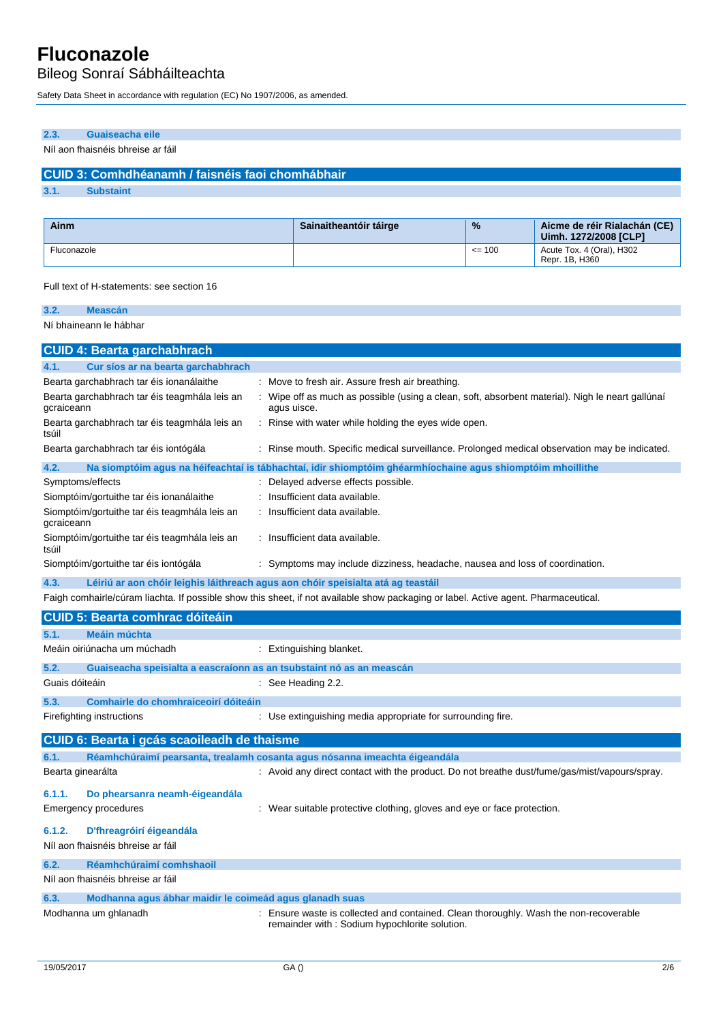Bileog Sonraí Sábháilteachta

Safety Data Sheet in accordance with regulation (EC) No 1907/2006, as amended.

## **2.3. Guaiseacha eile**

Níl aon fhaisnéis bhreise ar fáil

## **CUID 3: Comhdhéanamh / faisnéis faoi chomhábhair**

**3.1. Substaint**

| Ainm        | Sainaitheantóir táirge | $\frac{9}{6}$ | Aicme de réir Rialachán (CE)<br>Uimh. 1272/2008 [CLP] |
|-------------|------------------------|---------------|-------------------------------------------------------|
| Fluconazole |                        | $\leq$ 100    | Acute Tox. 4 (Oral), H302<br>Repr. 1B. H360           |

Full text of H-statements: see section 16

| 3.2.<br><b>Meascán</b>                                      |                                                                                                                 |
|-------------------------------------------------------------|-----------------------------------------------------------------------------------------------------------------|
| Ní bhaineann le hábhar                                      |                                                                                                                 |
| <b>CUID 4: Bearta garchabhrach</b>                          |                                                                                                                 |
| 4.1.<br>Cur síos ar na bearta garchabhrach                  |                                                                                                                 |
| Bearta garchabhrach tar éis ionanálaithe                    | : Move to fresh air. Assure fresh air breathing.                                                                |
| Bearta garchabhrach tar éis teagmhála leis an<br>gcraiceann | : Wipe off as much as possible (using a clean, soft, absorbent material). Nigh le neart gallúnaí<br>agus uisce. |
| Bearta garchabhrach tar éis teagmhála leis an<br>tsúil      | : Rinse with water while holding the eyes wide open.                                                            |
| Bearta garchabhrach tar éis iontógála                       | : Rinse mouth. Specific medical surveillance. Prolonged medical observation may be indicated.                   |

| 4.2.             |                                               | Na siomptóim agus na héifeachtaí is tábhachtaí, idir shiomptóim ghéarmhíochaine agus shiomptóim mhoillithe |
|------------------|-----------------------------------------------|------------------------------------------------------------------------------------------------------------|
| Symptoms/effects |                                               | Delayed adverse effects possible.                                                                          |
|                  | Siomptóim/gortuithe tar éis ionanálaithe      | : Insufficient data available.                                                                             |
| gcraiceann       | Siomptóim/gortuithe tar éis teagmhála leis an | : Insufficient data available.                                                                             |
| tsúil            | Siomptóim/gortuithe tar éis teagmhála leis an | : Insufficient data available.                                                                             |
|                  | Siomptóim/gortuithe tar éis iontógála         | : Symptoms may include dizziness, headache, nausea and loss of coordination.                               |

**4.3. Léiriú ar aon chóir leighis láithreach agus aon chóir speisialta atá ag teastáil**

Faigh comhairle/cúram liachta. If possible show this sheet, if not available show packaging or label. Active agent. Pharmaceutical.

|                   | <b>CUID 5: Bearta comhrac dóiteáin</b>                               |                                                                                                                                      |
|-------------------|----------------------------------------------------------------------|--------------------------------------------------------------------------------------------------------------------------------------|
| 5.1.              | Meáin múchta                                                         |                                                                                                                                      |
|                   | Meáin oiriúnacha um múchadh                                          | : Extinguishing blanket.                                                                                                             |
| 5.2.              | Guaiseacha speisialta a eascraíonn as an tsubstaint nó as an meascán |                                                                                                                                      |
| Guais dóiteáin    |                                                                      | $\therefore$ See Heading 2.2.                                                                                                        |
| 5.3.              | Comhairle do chomhraiceoirí dóiteáin                                 |                                                                                                                                      |
|                   | Firefighting instructions                                            | : Use extinguishing media appropriate for surrounding fire.                                                                          |
|                   | CUID 6: Bearta i gcás scaoileadh de thaisme                          |                                                                                                                                      |
| 6.1.              |                                                                      | Réamhchúraimí pearsanta, trealamh cosanta agus nósanna imeachta éigeandála                                                           |
| Bearta ginearálta |                                                                      | : Avoid any direct contact with the product. Do not breathe dust/fume/gas/mist/vapours/spray.                                        |
| 6.1.1.            | Do phearsanra neamh-éigeandála                                       |                                                                                                                                      |
|                   | Emergency procedures                                                 | : Wear suitable protective clothing, gloves and eye or face protection.                                                              |
| 6.1.2.            | D'fhreagróirí éigeandála                                             |                                                                                                                                      |
|                   | Níl aon fhaisnéis bhreise ar fáil                                    |                                                                                                                                      |
| 6.2.              | Réamhchúraimí comhshaoil                                             |                                                                                                                                      |
|                   | Níl aon fhaisnéis bhreise ar fáil                                    |                                                                                                                                      |
| 6.3.              | Modhanna agus ábhar maidir le coimeád agus glanadh suas              |                                                                                                                                      |
|                   | Modhanna um ghlanadh                                                 | Ensure waste is collected and contained. Clean thoroughly. Wash the non-recoverable<br>remainder with: Sodium hypochlorite solution. |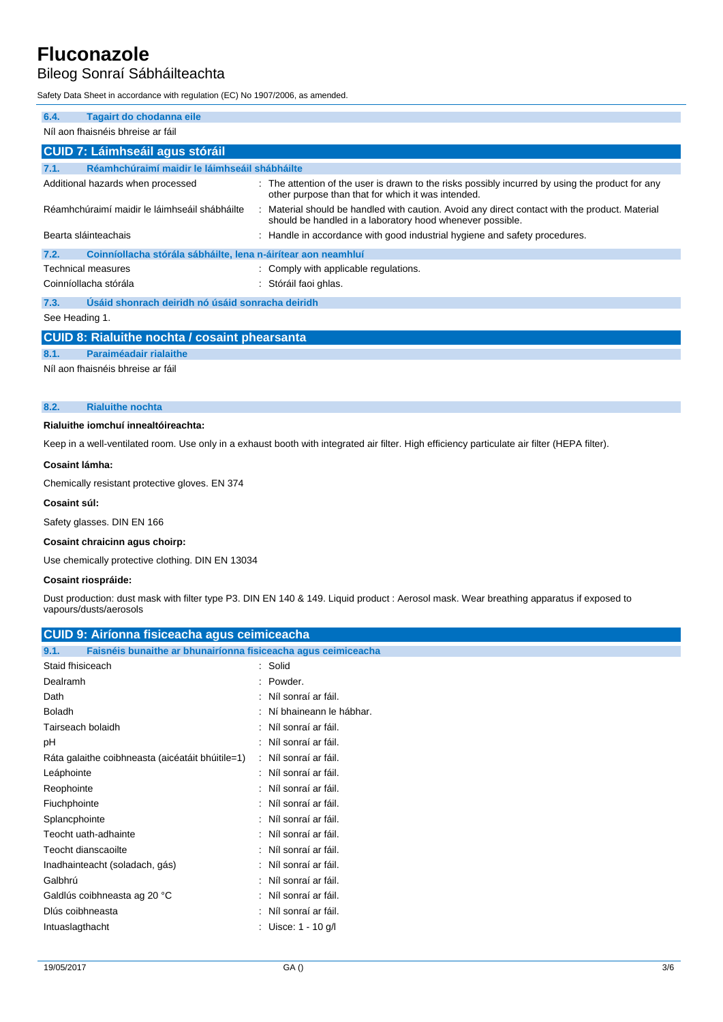## Bileog Sonraí Sábháilteachta

Safety Data Sheet in accordance with regulation (EC) No 1907/2006, as amended.

| 6.4.<br>Tagairt do chodanna eile                                      |                                                                                                                                                             |  |  |
|-----------------------------------------------------------------------|-------------------------------------------------------------------------------------------------------------------------------------------------------------|--|--|
| Níl aon fhaisnéis bhreise ar fáil                                     |                                                                                                                                                             |  |  |
|                                                                       |                                                                                                                                                             |  |  |
| <b>CUID 7: Láimhseáil agus stóráil</b>                                |                                                                                                                                                             |  |  |
| Réamhchúraimí maidir le láimhseáil shábháilte<br>7.1.                 |                                                                                                                                                             |  |  |
| Additional hazards when processed                                     | : The attention of the user is drawn to the risks possibly incurred by using the product for any<br>other purpose than that for which it was intended.      |  |  |
| Réamhchúraimí maidir le láimhseáil shábháilte                         | : Material should be handled with caution. Avoid any direct contact with the product. Material<br>should be handled in a laboratory hood whenever possible. |  |  |
| Bearta sláinteachais                                                  | : Handle in accordance with good industrial hygiene and safety procedures.                                                                                  |  |  |
| Coinníollacha stórála sábháilte, lena n-áirítear aon neamhluí<br>7.2. |                                                                                                                                                             |  |  |
| Technical measures                                                    | : Comply with applicable regulations.                                                                                                                       |  |  |
| Coinníollacha stórála                                                 | Stóráil faoi ghlas.                                                                                                                                         |  |  |
| Úsáid shonrach deiridh nó úsáid sonracha deiridh<br>7.3.              |                                                                                                                                                             |  |  |
| See Heading 1.                                                        |                                                                                                                                                             |  |  |
| <b>CUID 8: Rialuithe nochta / cosaint phearsanta</b>                  |                                                                                                                                                             |  |  |
| Paraiméadair rialaithe<br>8.1.                                        |                                                                                                                                                             |  |  |

Níl aon fhaisnéis bhreise ar fáil

### **8.2. Rialuithe nochta**

## **Rialuithe iomchuí innealtóireachta:**

Keep in a well-ventilated room. Use only in a exhaust booth with integrated air filter. High efficiency particulate air filter (HEPA filter).

#### **Cosaint lámha:**

Chemically resistant protective gloves. EN 374

#### **Cosaint súl:**

Safety glasses. DIN EN 166

#### **Cosaint chraicinn agus choirp:**

Use chemically protective clothing. DIN EN 13034

### **Cosaint riospráide:**

Dust production: dust mask with filter type P3. DIN EN 140 & 149. Liquid product : Aerosol mask. Wear breathing apparatus if exposed to vapours/dusts/aerosols

| <b>CUID 9: Airíonna fisiceacha agus ceimiceacha</b>                   |                           |  |  |
|-----------------------------------------------------------------------|---------------------------|--|--|
| Faisnéis bunaithe ar bhunairíonna fisiceacha agus ceimiceacha<br>9.1. |                           |  |  |
| Staid fhisiceach                                                      | : Solid                   |  |  |
| Dealramh                                                              | : Powder.                 |  |  |
| Dath                                                                  | : Níl sonraí ar fáil.     |  |  |
| <b>Boladh</b>                                                         | : Ní bhaineann le hábhar. |  |  |
| Tairseach bolaidh                                                     | : Níl sonraí ar fáil.     |  |  |
| рH                                                                    | : Níl sonraí ar fáil.     |  |  |
| Ráta galaithe coibhneasta (aicéatáit bhúitile=1)                      | : Níl sonraí ar fáil.     |  |  |
| Leáphointe                                                            | : Níl sonraí ar fáil.     |  |  |
| Reophointe                                                            | : Níl sonraí ar fáil.     |  |  |
| Fiuchphointe                                                          | : Níl sonraí ar fáil.     |  |  |
| Splancphointe                                                         | : Níl sonraí ar fáil.     |  |  |
| Teocht uath-adhainte                                                  | : Níl sonraí ar fáil.     |  |  |
| Teocht dianscaoilte                                                   | : Níl sonraí ar fáil.     |  |  |
| Inadhainteacht (soladach, gás)                                        | : Níl sonraí ar fáil.     |  |  |
| Galbhrú                                                               | : Níl sonraí ar fáil.     |  |  |
| Galdlús coibhneasta ag 20 °C                                          | : Níl sonraí ar fáil.     |  |  |
| Diús coibhneasta                                                      | : Níl sonraí ar fáil.     |  |  |
| Intuaslagthacht                                                       | : Uisce: 1 - 10 g/l       |  |  |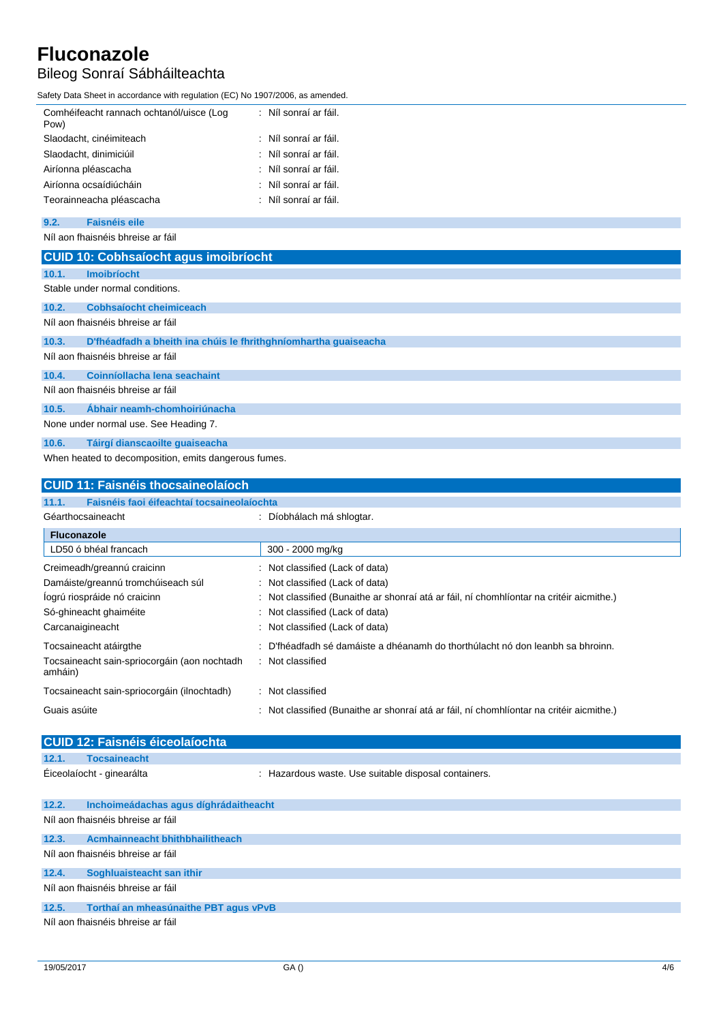## Bileog Sonraí Sábháilteachta

Safety Data Sheet in accordance with regulation (EC) No 1907/2006, as amended.

| Comhéifeacht rannach ochtanól/uisce (Log<br>Pow) | : Níl sonraí ar fáil. |
|--------------------------------------------------|-----------------------|
| Slaodacht, cinéimiteach                          | : Níl sonraí ar fáil. |
| Slaodacht, dinimiciúil                           | : Níl sonraí ar fáil. |
| Airíonna pléascacha                              | : Níl sonraí ar fáil. |
| Airíonna ocsaídiúcháin                           | : Níl sonraí ar fáil. |
| Teorainneacha pléascacha                         | : Níl sonraí ar fáil. |
|                                                  |                       |

### **9.2. Faisnéis eile**

Níl aon fhaisnéis bhreise ar fáil

|                                       | <b>CUID 10: Cobhsaíocht agus imoibríocht</b>                    |  |  |  |  |
|---------------------------------------|-----------------------------------------------------------------|--|--|--|--|
| 10.1.                                 | <b>Imoibríocht</b>                                              |  |  |  |  |
|                                       | Stable under normal conditions.                                 |  |  |  |  |
| 10.2.                                 | <b>Cobhsaíocht cheimiceach</b>                                  |  |  |  |  |
|                                       | Níl aon fhaisnéis bhreise ar fáil                               |  |  |  |  |
| 10.3.                                 | D'fhéadfadh a bheith ina chúis le fhrithghníomhartha guaiseacha |  |  |  |  |
|                                       | Níl aon fhaisnéis bhreise ar fáil                               |  |  |  |  |
| 10.4.                                 | Coinníollacha lena seachaint                                    |  |  |  |  |
| Níl aon fhaisnéis bhreise ar fáil     |                                                                 |  |  |  |  |
| 10.5.                                 | Ábhair neamh-chomhoiriúnacha                                    |  |  |  |  |
| None under normal use. See Heading 7. |                                                                 |  |  |  |  |
| 10.6.                                 | Táirgí dianscaoilte quaiseacha                                  |  |  |  |  |
|                                       | When heated to decomposition, emits dangerous fumes.            |  |  |  |  |

## **CUID 11: Faisnéis thocsaineolaíoch 11.1. Faisnéis faoi éifeachtaí tocsaineolaíochta** Géarthocsaineacht : Díobhálach má shlogtar. **Fluconazole** LD50 ó bhéal francach 300 - 2000 mg/kg Creimeadh/greannú craicinn : Not classified (Lack of data) Damáiste/greannú tromchúiseach súl : Not classified (Lack of data) Íogrú riospráide nó craicinn **inn i níoscaich achaithe ar shonraí atá ar fáil**, ní chomhlíontar na critéir aicmithe.) Só-ghineacht ghaiméite : Not classified (Lack of data) Carcanaigineacht : Not classified (Lack of data) Tocsaineacht atáirgthe in the seacht is D'fhéadfadh sé damáiste a dhéanamh do thorthúlacht nó don leanbh sa bhroinn. Tocsaineacht sain-spriocorgáin (aon nochtadh amháin) : Not classified Tocsaineacht sain-spriocorgáin (ilnochtadh) : Not classified Guais asúite : Not classified (Bunaithe ar shonraí atá ar fáil, ní chomhlíontar na critéir aicmithe.)

|       | <b>CUID 12: Faisnéis éiceolaíochta</b> |                                                      |  |  |  |
|-------|----------------------------------------|------------------------------------------------------|--|--|--|
| 12.1. | <b>Tocsaineacht</b>                    |                                                      |  |  |  |
|       | Éiceolaíocht - ginearálta              | : Hazardous waste. Use suitable disposal containers. |  |  |  |
| 12.2. | Inchoimeádachas agus díghrádaitheacht  |                                                      |  |  |  |
|       | Níl aon fhaisnéis bhreise ar fáil      |                                                      |  |  |  |
| 12.3. | <b>Acmhainneacht bhithbhailitheach</b> |                                                      |  |  |  |
|       | Níl aon fhaisnéis bhreise ar fáil      |                                                      |  |  |  |
| 12.4. | Soghluaisteacht san ithir              |                                                      |  |  |  |
|       | Níl aon fhaisnéis bhreise ar fáil      |                                                      |  |  |  |
|       |                                        |                                                      |  |  |  |

**12.5. Torthaí an mheasúnaithe PBT agus vPvB** Níl aon fhaisnéis bhreise ar fáil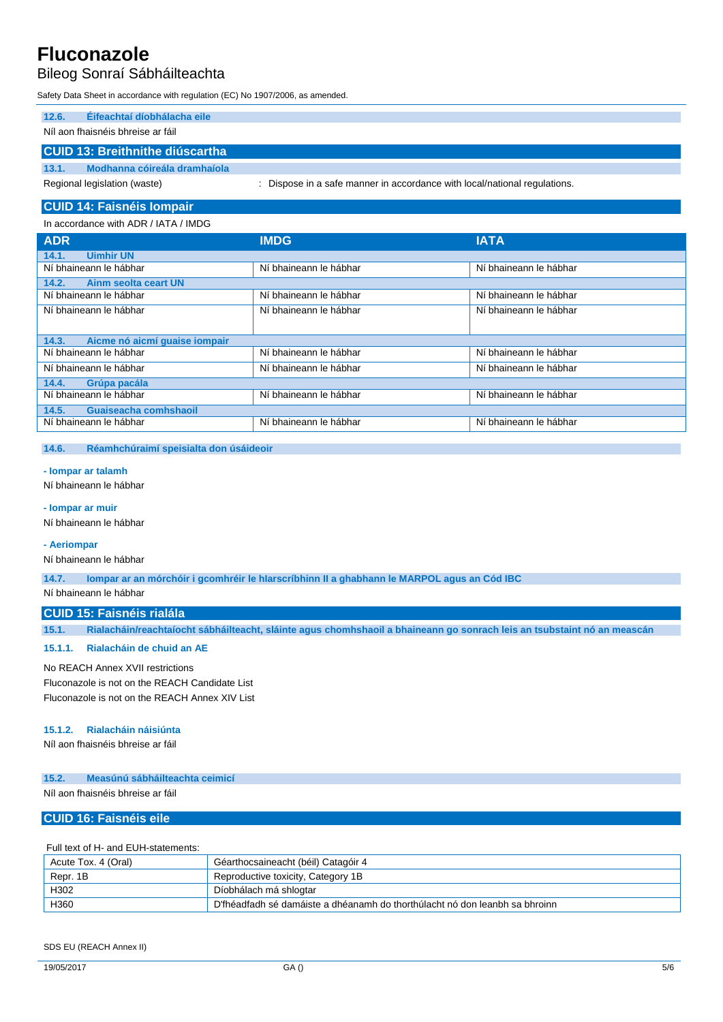## Bileog Sonraí Sábháilteachta

Safety Data Sheet in accordance with regulation (EC) No 1907/2006, as amended.

| 12.6. | <b>Éifeachtaí díobhálacha eile</b> |                                                                           |  |
|-------|------------------------------------|---------------------------------------------------------------------------|--|
|       | Níl aon fhaisnéis bhreise ar fáil  |                                                                           |  |
|       | CUID 13: Breithnithe diúscartha    |                                                                           |  |
| 13.1. | Modhanna cóireála dramhaíola       |                                                                           |  |
|       | Regional legislation (waste)       | : Dispose in a safe manner in accordance with local/national regulations. |  |
|       |                                    |                                                                           |  |

## **CUID 14: Faisnéis Iompair**

### In accordance with ADR / IATA / IMDG

| <b>ADR</b>                             | <b>IMDG</b>            | <b>IATA</b>            |
|----------------------------------------|------------------------|------------------------|
| <b>Uimhir UN</b><br>14.1.              |                        |                        |
| Ní bhaineann le hábhar                 | Ní bhaineann le hábhar | Ní bhaineann le hábhar |
| Ainm seolta ceart UN<br>14.2.          |                        |                        |
| Ní bhaineann le hábhar                 | Ní bhaineann le hábhar | Ní bhaineann le hábhar |
| Ní bhaineann le hábhar                 | Ní bhaineann le hábhar | Ní bhaineann le hábhar |
|                                        |                        |                        |
| Aicme nó aicmí guaise iompair<br>14.3. |                        |                        |
| Ní bhaineann le hábhar                 | Ní bhaineann le hábhar | Ní bhaineann le hábhar |
| Ní bhaineann le hábhar                 | Ní bhaineann le hábhar | Ní bhaineann le hábhar |
| 14.4.<br>Grúpa pacála                  |                        |                        |
| Ní bhaineann le hábhar                 | Ní bhaineann le hábhar | Ní bhaineann le hábhar |
| 14.5.<br>Guaiseacha comhshaoil         |                        |                        |
| Ní bhaineann le hábhar                 | Ní bhaineann le hábhar | Ní bhaineann le hábhar |
|                                        |                        |                        |

### **14.6. Réamhchúraimí speisialta don úsáideoir**

## **- Iompar ar talamh**

Ní bhaineann le hábhar

## **- Iompar ar muir**

Ní bhaineann le hábhar

#### **- Aeriompar**

Ní bhaineann le hábhar

**14.7. Iompar ar an mórchóir i gcomhréir le hIarscríbhinn II a ghabhann le MARPOL agus an Cód IBC**

Ní bhaineann le hábhar

## **CUID 15: Faisnéis rialála**

**15.1. Rialacháin/reachtaíocht sábháilteacht, sláinte agus chomhshaoil a bhaineann go sonrach leis an tsubstaint nó an meascán**

### **15.1.1. Rialacháin de chuid an AE**

#### No REACH Annex XVII restrictions

Fluconazole is not on the REACH Candidate List Fluconazole is not on the REACH Annex XIV List

#### **15.1.2. Rialacháin náisiúnta**

Níl aon fhaisnéis bhreise ar fáil

### **15.2. Measúnú sábháilteachta ceimicí**

Níl aon fhaisnéis bhreise ar fáil

## **CUID 16: Faisnéis eile**

Full text of H- and EUH-statements:

| Acute Tox. 4 (Oral) | Géarthocsaineacht (béil) Catagóir 4                                         |
|---------------------|-----------------------------------------------------------------------------|
| Repr. 1B            | Reproductive toxicity, Category 1B                                          |
| H302                | Díobhálach má shlogtar                                                      |
| H360                | D'fhéadfadh sé damáiste a dhéanamh do thorthúlacht nó don leanbh sa bhroinn |

#### SDS EU (REACH Annex II)